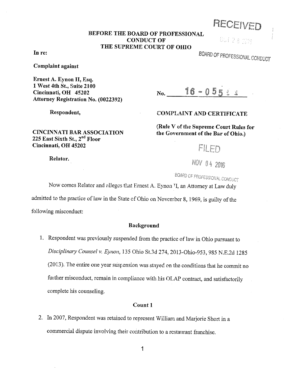RECEt\tED

# **BEFORE THE BOARD OF PROFESSIONAL CONDUCT OF THE SUPREME COURT OF OHIO**

**In re:** 

**Complaint against** 

**Ernest A. Eynon II, Esq. 1 West 4th St., Suite 2100 Cincinnati, OH 45202 Attorney Registration No. (0022392)** 

**Respondent,** 

### **CINCINNATI BAR ASSOCIATION 225 East Sixth St.,** 2"d **Floor Cincinnati, OH 45202**

#### Relator.

05 28 233

BOARD OF PROFESSIONAL CONDUCT

16-0552  $No.$ 

# **COMPLAINT AND CERTIFICATE**

**(Rule V ofthe Supreme Court Rules for**  the Government of the Bar of Ohio.)

FILED

NOV 04 2016

**BOARD OF PROFESSIONAL CONDUCT** 

Now comes Relator and alleges that Ernest A. Eynon TI, an Attorney at Law duly

admitted to the practice of law in the State of Ohio on November 8, 1969, is guilty of the following misconduct:

## **Background**

I. Respondent was previously suspended from the practice of law in Ohio pursuant to *Disciplinary Counsel v. Eynon,* l 35 Ohio St.3d 274, 2013-0hio-953, 985 N.E.2d 1285 (2013). The entire one year suspension was stayed on the conditions that he commit no further misconduct, remain in compliance with his OLAP contract, and satisfactorily complete his counseling.

#### Count 1

2. In 2007, Respondent was retained to represent William and Marjorie Short in a commercial dispute involving their contribution to a restaurant franchise.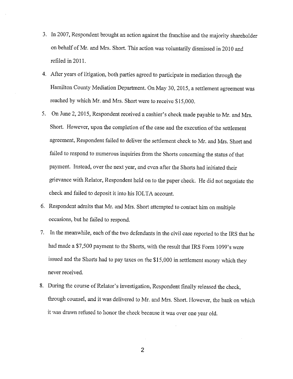- 3. In 2007, Respondent brought an action against the franchise and the majority shareholder on behalf of Mr. and Mrs. Short. This action was voluntarily dismissed in 2010 and refiled in 2011.
- 4. After years of litigation, both parties agreed to participate in mediation through the Hamilton County Mediation Department. On May 30, 2015, a settlement agreement was reached by which Mr. and Mrs. Short were to receive \$15,000.
- 5. On June 2, 2015, Respondent received a cashier's check made payable to Mr. and Mrs. Short. However, upon the completion of the case and the execution of the settlement agreement, Respondent failed to deliver the settlement check to Mr. and Mrs. Short and failed to respond to numerous inquiries from the Shorts concerning the status of that payment. Instead, over the next year, and even after the Shorts had initiated their grievance with Relator, Respondent held on to the paper check. He did not negotiate the check and failed to deposit it into his IOLTA account.
- 6. Respondent admits that Mr. and Mrs. Short attempted to contact him on multiple occasions, but he failed to respond.
- 7. In the meanwhile, each of the two defendants in the civil case reported to the IRS that he had made a \$7,500 payment to the Shorts, with the result that IRS Form 1099's were issued and the Shorts had to pay taxes on the \$15,000 in settlement money which they never received.
- 8. During the course of Relator's investigation, Respondent finally released the check, through counsel, and it was delivered to Mr. and Mrs. Short. However, the bank on which it was drawn refused to honor the check because it was over one year old.

2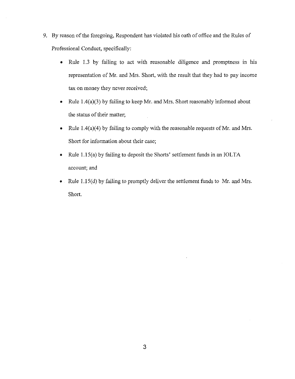- 9. By reason of the foregoing, Respondent has violated his oath of office and the Rules of Professional Conduct, specifically:
	- Rule 1.3 by failing to act with reasonable diligence and promptness in his representation of Mr. and Mrs. Short, with the result that they had to pay income tax on money they never received;
	- Rule  $1.4(a)(3)$  by failing to keep Mr. and Mrs. Short reasonably informed about the status of their matter;
	- Rule 1.4(a)(4) by failing to comply with the reasonable requests of Mr. and Mrs. Short for information about their case;
	- Rule 1.15(a) by failing to deposit the Shorts' settlement funds in an IOLTA account; and
	- Rule 1.15(d) by failing to promptly deliver the settlement funds to Mr. and Mrs. Short.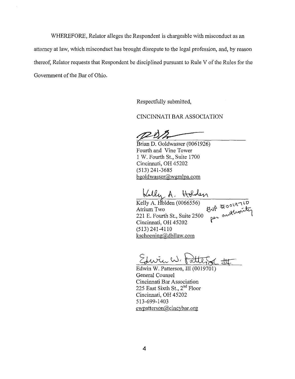WHEREFORE, Relator alleges the Respondent is chargeable with misconduct as an attorney at law, which misconduct has brought disrepute to the legal profession, and, by reason thereof, Relator requests that Respondent be disciplined pursuant to Rule V of the Rules for the Government of the Bar of Ohio.

Respectfully submitted,

CINCINNATI BAR ASSOCIATION

Brian D. Goldwasser (0061926) Fourth and Vine Tower 1 W. Fourth St., Suite 1700 Cincinnati, OH 45202 (513) 241-3685 bgoldwasser@wgmlpa.com

Lelly A. Holden

Kelly A. Holden (0066556) Atrium Two  $\sigma^{\rm out}$  in the  $\sigma$ Kelly A. Holden (0066556)<br>Atrium Two **Eup** troovarity<br>221 E. Fourth St., Suite 2500 per authority Cincinnati, OH 45202 (513) 241-4110 kschoening@dbllaw.com

 $Z$ hvin $W$ , fatte

Edwin W. Patterson, III (0019701) General Counsel Cincinnati Bar Association 225 East Sixth St., 2<sup>nd</sup> Floor Cincinnati, OH 45202 513-699-1403 ewpatterson@cincybar.org